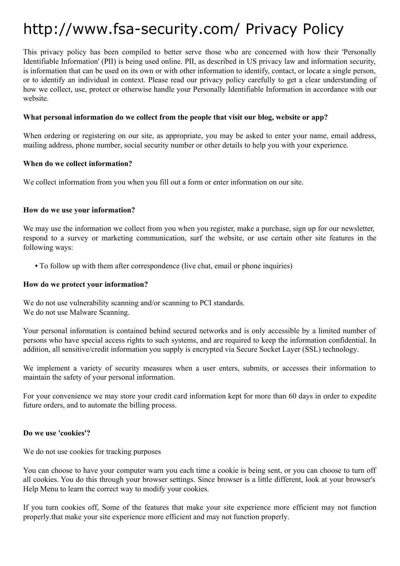# http://www.fsa-security.com/ Privacy Policy

This privacy policy has been compiled to better serve those who are concerned with how their 'Personally Identifiable Information' (PII) is being used online. PII, as described in US privacy law and information security, is information that can be used on its own or with other information to identify, contact, or locate a single person, or to identify an individual in context. Please read our privacy policy carefully to get a clear understanding of how we collect, use, protect or otherwise handle your Personally Identifiable Information in accordance with our website.

#### **What personal information do we collect from the people that visit our blog, website or app?**

When ordering or registering on our site, as appropriate, you may be asked to enter your name, email address, mailing address, phone number, social security number or other details to help you with your experience.

#### **When do we collect information?**

We collect information from you when you fill out a form or enter information on our site.

## **How do we use your information?**

We may use the information we collect from you when you register, make a purchase, sign up for our newsletter, respond to a survey or marketing communication, surf the website, or use certain other site features in the following ways:

**•** To follow up with them after correspondence (live chat, email or phone inquiries)

#### **How do we protect your information?**

We do not use vulnerability scanning and/or scanning to PCI standards. We do not use Malware Scanning.

Your personal information is contained behind secured networks and is only accessible by a limited number of persons who have special access rights to such systems, and are required to keep the information confidential. In addition, all sensitive/credit information you supply is encrypted via Secure Socket Layer (SSL) technology.

We implement a variety of security measures when a user enters, submits, or accesses their information to maintain the safety of your personal information.

For your convenience we may store your credit card information kept for more than 60 days in order to expedite future orders, and to automate the billing process.

#### **Do we use 'cookies'?**

We do not use cookies for tracking purposes

You can choose to have your computer warn you each time a cookie is being sent, or you can choose to turn off all cookies. You do this through your browser settings. Since browser is a little different, look at your browser's Help Menu to learn the correct way to modify your cookies.

If you turn cookies off, Some of the features that make your site experience more efficient may not function properly.that make your site experience more efficient and may not function properly.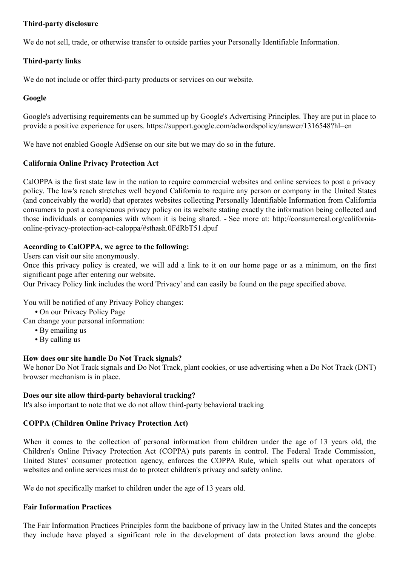## **Third-party disclosure**

We do not sell, trade, or otherwise transfer to outside parties your Personally Identifiable Information.

# **Third-party links**

We do not include or offer third-party products or services on our website.

# **Google**

Google's advertising requirements can be summed up by Google's Advertising Principles. They are put in place to provide a positive experience for users. https://support.google.com/adwordspolicy/answer/1316548?hl=en

We have not enabled Google AdSense on our site but we may do so in the future.

# **California Online Privacy Protection Act**

CalOPPA is the first state law in the nation to require commercial websites and online services to post a privacy policy. The law's reach stretches well beyond California to require any person or company in the United States (and conceivably the world) that operates websites collecting Personally Identifiable Information from California consumers to post a conspicuous privacy policy on its website stating exactly the information being collected and those individuals or companies with whom it is being shared. - See more at: http://consumercal.org/californiaonline-privacy-protection-act-caloppa/#sthash.0FdRbT51.dpuf

## **According to CalOPPA, we agree to the following:**

Users can visit our site anonymously.

Once this privacy policy is created, we will add a link to it on our home page or as a minimum, on the first significant page after entering our website.

Our Privacy Policy link includes the word 'Privacy' and can easily be found on the page specified above.

You will be notified of any Privacy Policy changes:

**•** On our Privacy Policy Page

Can change your personal information:

- **•** By emailing us
- **•** By calling us

#### **How does our site handle Do Not Track signals?**

We honor Do Not Track signals and Do Not Track, plant cookies, or use advertising when a Do Not Track (DNT) browser mechanism is in place.

#### **Does our site allow third-party behavioral tracking?**

It's also important to note that we do not allow third-party behavioral tracking

# **COPPA (Children Online Privacy Protection Act)**

When it comes to the collection of personal information from children under the age of 13 years old, the Children's Online Privacy Protection Act (COPPA) puts parents in control. The Federal Trade Commission, United States' consumer protection agency, enforces the COPPA Rule, which spells out what operators of websites and online services must do to protect children's privacy and safety online.

We do not specifically market to children under the age of 13 years old.

#### **Fair Information Practices**

The Fair Information Practices Principles form the backbone of privacy law in the United States and the concepts they include have played a significant role in the development of data protection laws around the globe.